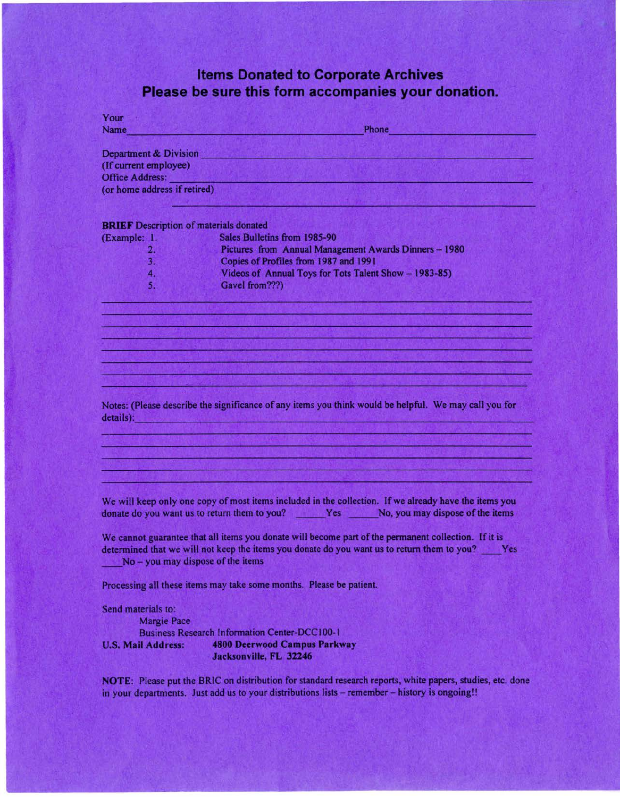## **Items Donated to Corporate Archives Please be sure this form accompanies your donation.**

| Your                                          |                                                                                                                                                                                                                                              |
|-----------------------------------------------|----------------------------------------------------------------------------------------------------------------------------------------------------------------------------------------------------------------------------------------------|
| Name                                          | Phone                                                                                                                                                                                                                                        |
| Department & Division                         |                                                                                                                                                                                                                                              |
| (If current employee)                         |                                                                                                                                                                                                                                              |
| Office Address:                               |                                                                                                                                                                                                                                              |
| (or home address if retired)                  |                                                                                                                                                                                                                                              |
|                                               |                                                                                                                                                                                                                                              |
| <b>BRIEF</b> Description of materials donated |                                                                                                                                                                                                                                              |
| (Example: 1.                                  | Sales Bulletins from 1985-90                                                                                                                                                                                                                 |
| 2.                                            | Pictures from Annual Management Awards Dinners - 1980                                                                                                                                                                                        |
| 3.                                            | Copies of Profiles from 1987 and 1991                                                                                                                                                                                                        |
| 4.                                            | Videos of Annual Toys for Tots Talent Show - 1983-85)                                                                                                                                                                                        |
| 5.                                            | Gavel from???)<br>and the control of the control of the control of the control of the control of the control of                                                                                                                              |
|                                               |                                                                                                                                                                                                                                              |
|                                               |                                                                                                                                                                                                                                              |
|                                               |                                                                                                                                                                                                                                              |
|                                               |                                                                                                                                                                                                                                              |
|                                               | Notes: (Please describe the significance of any items you think would be helpful. We may call you for<br>details): England and the second contract of the second contract of the second                                                      |
|                                               |                                                                                                                                                                                                                                              |
|                                               | We will keep only one copy of most items included in the collection. If we already have the items you<br>donate do you want us to return them to you? Yes No, you may dispose of the items                                                   |
|                                               | We cannot guarantee that all items you donate will become part of the permanent collection. If it is<br>determined that we will not keep the items you donate do you want us to return them to you? Yes<br>No - you may dispose of the items |
|                                               | Processing all these items may take some months. Please be patient.                                                                                                                                                                          |
| Send materials to:                            |                                                                                                                                                                                                                                              |
| <b>Margie Pace</b>                            |                                                                                                                                                                                                                                              |
|                                               | <b>Business Research Information Center-DCC100-1</b>                                                                                                                                                                                         |
| <b>U.S. Mail Address:</b>                     | <b>4800 Deerwood Campus Parkway</b>                                                                                                                                                                                                          |

**Jacksonville, FL 32246** 

**NOTE:** Please put the BRIC on distribution for standard research reports, white papers, studies, etc. done in your departments. Just add us to your distributions lists - remember - history is ongoing!!